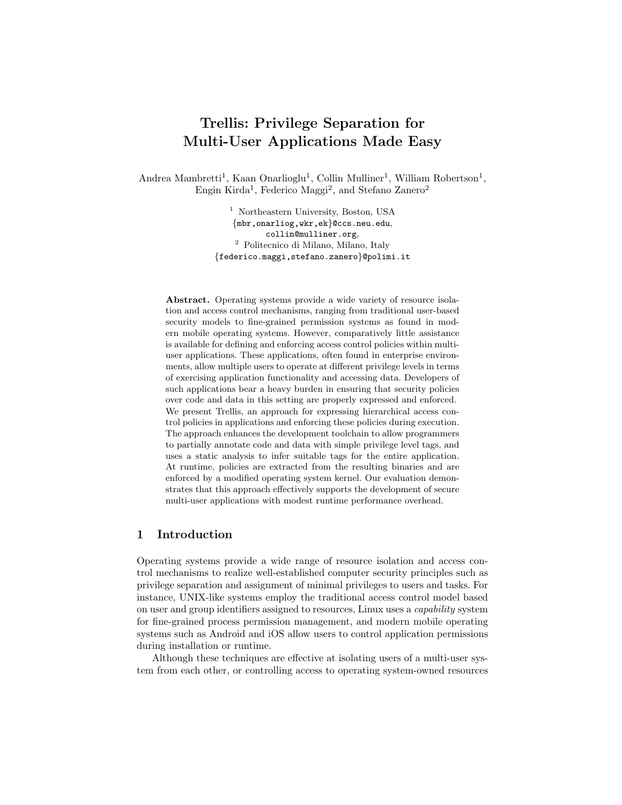# Trellis: Privilege Separation for Multi-User Applications Made Easy

Andrea Mambretti<sup>1</sup>, Kaan Onarlioglu<sup>1</sup>, Collin Mulliner<sup>1</sup>, William Robertson<sup>1</sup>, Engin Kirda<sup>1</sup>, Federico Maggi<sup>2</sup>, and Stefano Zanero<sup>2</sup>

> <sup>1</sup> Northeastern University, Boston, USA {mbr,onarliog,wkr,ek}@ccs.neu.edu, collin@mulliner.org, <sup>2</sup> Politecnico di Milano, Milano, Italy {federico.maggi,stefano.zanero}@polimi.it

Abstract. Operating systems provide a wide variety of resource isolation and access control mechanisms, ranging from traditional user-based security models to fine-grained permission systems as found in modern mobile operating systems. However, comparatively little assistance is available for defining and enforcing access control policies within multiuser applications. These applications, often found in enterprise environments, allow multiple users to operate at different privilege levels in terms of exercising application functionality and accessing data. Developers of such applications bear a heavy burden in ensuring that security policies over code and data in this setting are properly expressed and enforced. We present Trellis, an approach for expressing hierarchical access control policies in applications and enforcing these policies during execution. The approach enhances the development toolchain to allow programmers to partially annotate code and data with simple privilege level tags, and uses a static analysis to infer suitable tags for the entire application. At runtime, policies are extracted from the resulting binaries and are enforced by a modified operating system kernel. Our evaluation demonstrates that this approach effectively supports the development of secure multi-user applications with modest runtime performance overhead.

# 1 Introduction

Operating systems provide a wide range of resource isolation and access control mechanisms to realize well-established computer security principles such as privilege separation and assignment of minimal privileges to users and tasks. For instance, UNIX-like systems employ the traditional access control model based on user and group identifiers assigned to resources, Linux uses a capability system for fine-grained process permission management, and modern mobile operating systems such as Android and iOS allow users to control application permissions during installation or runtime.

Although these techniques are effective at isolating users of a multi-user system from each other, or controlling access to operating system-owned resources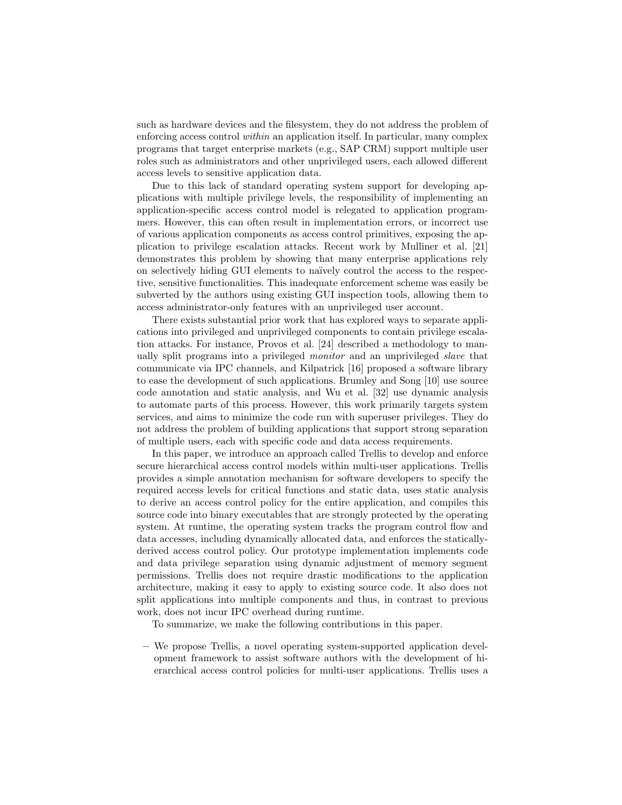such as hardware devices and the filesystem, they do not address the problem of enforcing access control within an application itself. In particular, many complex programs that target enterprise markets (e.g., SAP CRM) support multiple user roles such as administrators and other unprivileged users, each allowed different access levels to sensitive application data.

Due to this lack of standard operating system support for developing applications with multiple privilege levels, the responsibility of implementing an application-specific access control model is relegated to application programmers. However, this can often result in implementation errors, or incorrect use of various application components as access control primitives, exposing the application to privilege escalation attacks. Recent work by Mulliner et al. [21] demonstrates this problem by showing that many enterprise applications rely on selectively hiding GUI elements to na¨ıvely control the access to the respective, sensitive functionalities. This inadequate enforcement scheme was easily be subverted by the authors using existing GUI inspection tools, allowing them to access administrator-only features with an unprivileged user account.

There exists substantial prior work that has explored ways to separate applications into privileged and unprivileged components to contain privilege escalation attacks. For instance, Provos et al. [24] described a methodology to manually split programs into a privileged monitor and an unprivileged slave that communicate via IPC channels, and Kilpatrick [16] proposed a software library to ease the development of such applications. Brumley and Song [10] use source code annotation and static analysis, and Wu et al. [32] use dynamic analysis to automate parts of this process. However, this work primarily targets system services, and aims to minimize the code run with superuser privileges. They do not address the problem of building applications that support strong separation of multiple users, each with specific code and data access requirements.

In this paper, we introduce an approach called Trellis to develop and enforce secure hierarchical access control models within multi-user applications. Trellis provides a simple annotation mechanism for software developers to specify the required access levels for critical functions and static data, uses static analysis to derive an access control policy for the entire application, and compiles this source code into binary executables that are strongly protected by the operating system. At runtime, the operating system tracks the program control flow and data accesses, including dynamically allocated data, and enforces the staticallyderived access control policy. Our prototype implementation implements code and data privilege separation using dynamic adjustment of memory segment permissions. Trellis does not require drastic modifications to the application architecture, making it easy to apply to existing source code. It also does not split applications into multiple components and thus, in contrast to previous work, does not incur IPC overhead during runtime.

To summarize, we make the following contributions in this paper.

– We propose Trellis, a novel operating system-supported application development framework to assist software authors with the development of hierarchical access control policies for multi-user applications. Trellis uses a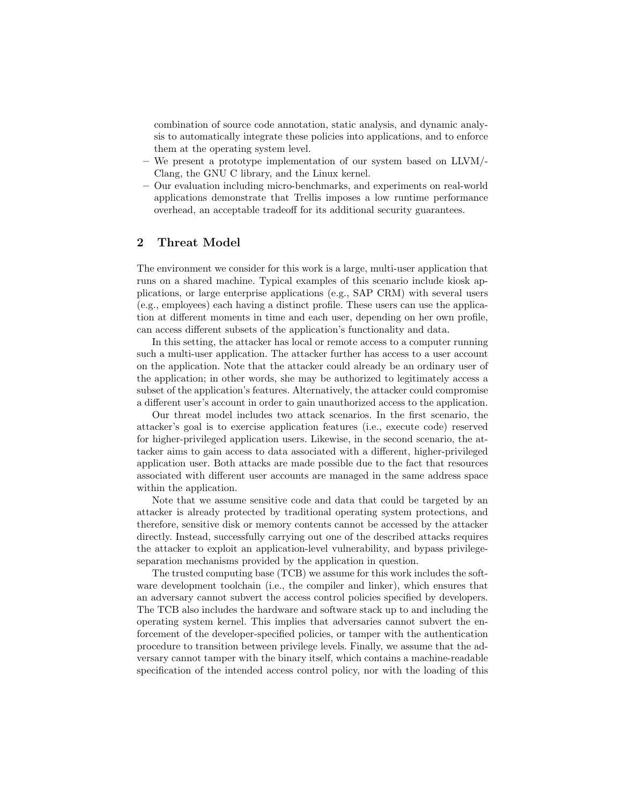combination of source code annotation, static analysis, and dynamic analysis to automatically integrate these policies into applications, and to enforce them at the operating system level.

- We present a prototype implementation of our system based on LLVM/- Clang, the GNU C library, and the Linux kernel.
- Our evaluation including micro-benchmarks, and experiments on real-world applications demonstrate that Trellis imposes a low runtime performance overhead, an acceptable tradeoff for its additional security guarantees.

# 2 Threat Model

The environment we consider for this work is a large, multi-user application that runs on a shared machine. Typical examples of this scenario include kiosk applications, or large enterprise applications (e.g., SAP CRM) with several users (e.g., employees) each having a distinct profile. These users can use the application at different moments in time and each user, depending on her own profile, can access different subsets of the application's functionality and data.

In this setting, the attacker has local or remote access to a computer running such a multi-user application. The attacker further has access to a user account on the application. Note that the attacker could already be an ordinary user of the application; in other words, she may be authorized to legitimately access a subset of the application's features. Alternatively, the attacker could compromise a different user's account in order to gain unauthorized access to the application.

Our threat model includes two attack scenarios. In the first scenario, the attacker's goal is to exercise application features (i.e., execute code) reserved for higher-privileged application users. Likewise, in the second scenario, the attacker aims to gain access to data associated with a different, higher-privileged application user. Both attacks are made possible due to the fact that resources associated with different user accounts are managed in the same address space within the application.

Note that we assume sensitive code and data that could be targeted by an attacker is already protected by traditional operating system protections, and therefore, sensitive disk or memory contents cannot be accessed by the attacker directly. Instead, successfully carrying out one of the described attacks requires the attacker to exploit an application-level vulnerability, and bypass privilegeseparation mechanisms provided by the application in question.

The trusted computing base (TCB) we assume for this work includes the software development toolchain (i.e., the compiler and linker), which ensures that an adversary cannot subvert the access control policies specified by developers. The TCB also includes the hardware and software stack up to and including the operating system kernel. This implies that adversaries cannot subvert the enforcement of the developer-specified policies, or tamper with the authentication procedure to transition between privilege levels. Finally, we assume that the adversary cannot tamper with the binary itself, which contains a machine-readable specification of the intended access control policy, nor with the loading of this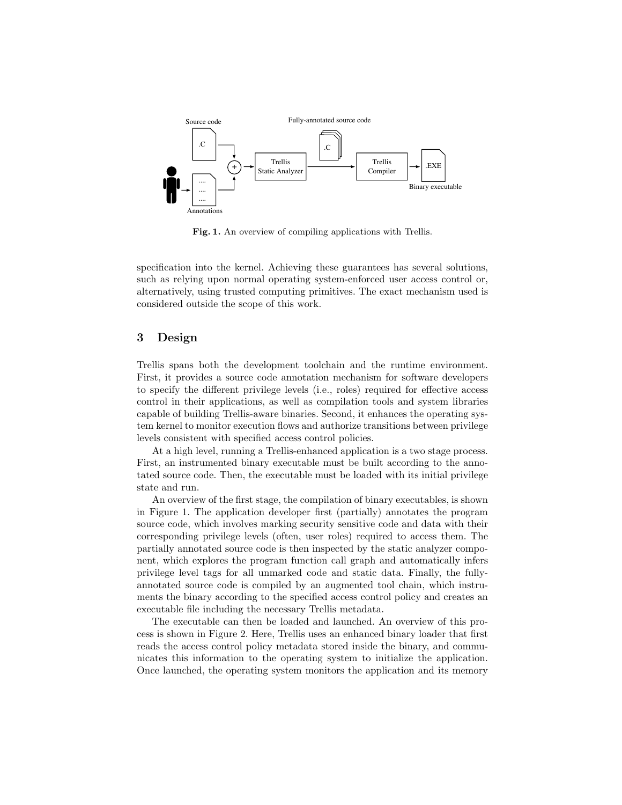

Fig. 1. An overview of compiling applications with Trellis.

specification into the kernel. Achieving these guarantees has several solutions, such as relying upon normal operating system-enforced user access control or, alternatively, using trusted computing primitives. The exact mechanism used is considered outside the scope of this work.

# 3 Design

Trellis spans both the development toolchain and the runtime environment. First, it provides a source code annotation mechanism for software developers to specify the different privilege levels (i.e., roles) required for effective access control in their applications, as well as compilation tools and system libraries capable of building Trellis-aware binaries. Second, it enhances the operating system kernel to monitor execution flows and authorize transitions between privilege levels consistent with specified access control policies.

At a high level, running a Trellis-enhanced application is a two stage process. First, an instrumented binary executable must be built according to the annotated source code. Then, the executable must be loaded with its initial privilege state and run.

An overview of the first stage, the compilation of binary executables, is shown in Figure 1. The application developer first (partially) annotates the program source code, which involves marking security sensitive code and data with their corresponding privilege levels (often, user roles) required to access them. The partially annotated source code is then inspected by the static analyzer component, which explores the program function call graph and automatically infers privilege level tags for all unmarked code and static data. Finally, the fullyannotated source code is compiled by an augmented tool chain, which instruments the binary according to the specified access control policy and creates an executable file including the necessary Trellis metadata.

The executable can then be loaded and launched. An overview of this process is shown in Figure 2. Here, Trellis uses an enhanced binary loader that first reads the access control policy metadata stored inside the binary, and communicates this information to the operating system to initialize the application. Once launched, the operating system monitors the application and its memory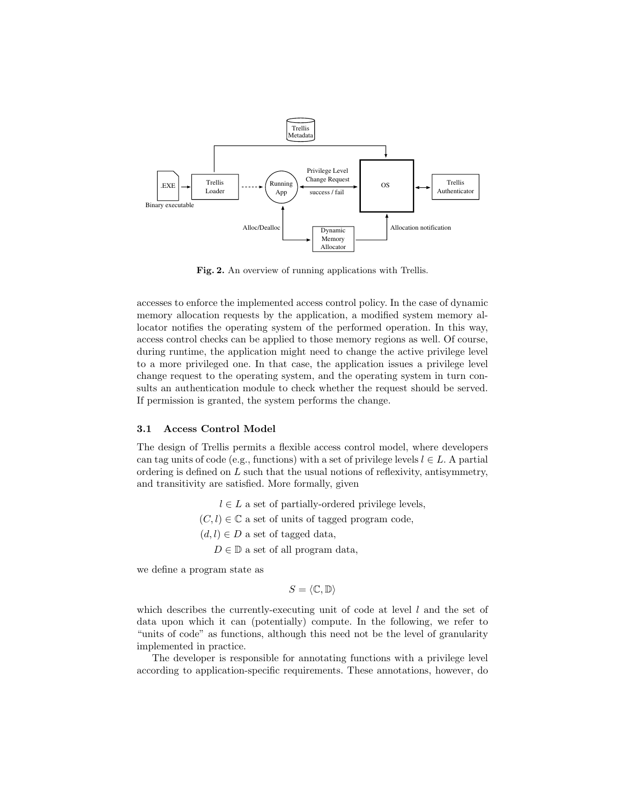

Fig. 2. An overview of running applications with Trellis.

accesses to enforce the implemented access control policy. In the case of dynamic memory allocation requests by the application, a modified system memory allocator notifies the operating system of the performed operation. In this way, access control checks can be applied to those memory regions as well. Of course, during runtime, the application might need to change the active privilege level to a more privileged one. In that case, the application issues a privilege level change request to the operating system, and the operating system in turn consults an authentication module to check whether the request should be served. If permission is granted, the system performs the change.

#### 3.1 Access Control Model

The design of Trellis permits a flexible access control model, where developers can tag units of code (e.g., functions) with a set of privilege levels  $l \in L$ . A partial ordering is defined on  $L$  such that the usual notions of reflexivity, antisymmetry, and transitivity are satisfied. More formally, given

 $l \in L$  a set of partially-ordered privilege levels,

 $(C, l) \in \mathbb{C}$  a set of units of tagged program code,

 $(d, l) \in D$  a set of tagged data,

 $D \in \mathbb{D}$  a set of all program data,

we define a program state as

$$
S = \langle \mathbb{C}, \mathbb{D} \rangle
$$

which describes the currently-executing unit of code at level  $l$  and the set of data upon which it can (potentially) compute. In the following, we refer to "units of code" as functions, although this need not be the level of granularity implemented in practice.

The developer is responsible for annotating functions with a privilege level according to application-specific requirements. These annotations, however, do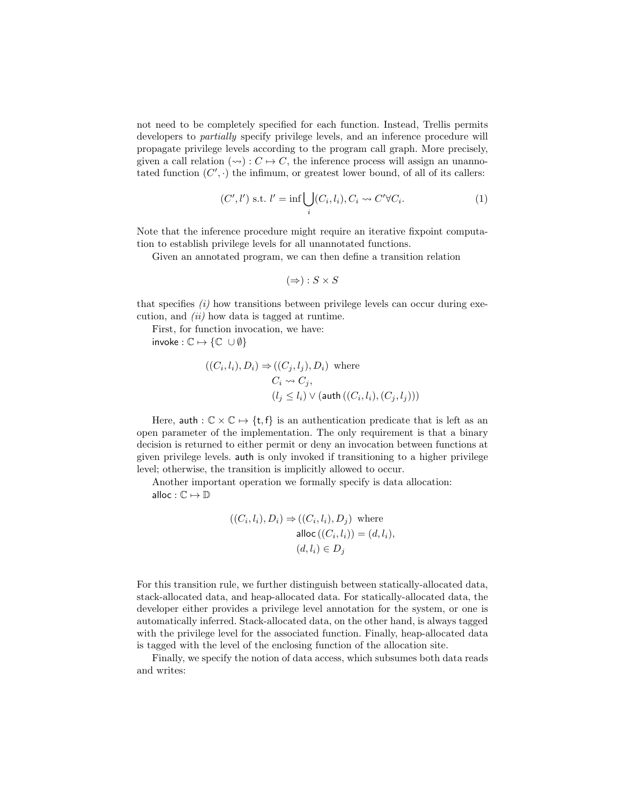not need to be completely specified for each function. Instead, Trellis permits developers to partially specify privilege levels, and an inference procedure will propagate privilege levels according to the program call graph. More precisely, given a call relation  $(\leadsto) : C \mapsto C$ , the inference process will assign an unannotated function  $(C', \cdot)$  the infimum, or greatest lower bound, of all of its callers:

$$
(C', l') \text{ s.t. } l' = \inf \bigcup_{i} (C_i, l_i), C_i \rightsquigarrow C' \forall C_i.
$$
 (1)

Note that the inference procedure might require an iterative fixpoint computation to establish privilege levels for all unannotated functions.

Given an annotated program, we can then define a transition relation

$$
(\Rightarrow): S \times S
$$

that specifies  $(i)$  how transitions between privilege levels can occur during execution, and  $(ii)$  how data is tagged at runtime.

First, for function invocation, we have:

invoke :  $\mathbb{C} \mapsto \{ \mathbb{C} \cup \emptyset \}$ 

$$
((C_i, l_i), D_i) \Rightarrow ((C_j, l_j), D_i) \text{ where}
$$
  

$$
C_i \rightsquigarrow C_j,
$$
  

$$
(l_j \le l_i) \vee (\text{auth } ((C_i, l_i), (C_j, l_j)))
$$

Here, auth :  $\mathbb{C} \times \mathbb{C} \mapsto \{t, f\}$  is an authentication predicate that is left as an open parameter of the implementation. The only requirement is that a binary decision is returned to either permit or deny an invocation between functions at given privilege levels. auth is only invoked if transitioning to a higher privilege level; otherwise, the transition is implicitly allowed to occur.

Another important operation we formally specify is data allocation: alloc :  $\mathbb{C} \mapsto \mathbb{D}$ 

$$
((C_i, l_i), D_i) \Rightarrow ((C_i, l_i), D_j) \text{ where}
$$
  
alloc 
$$
((C_i, l_i)) = (d, l_i),
$$
  

$$
(d, l_i) \in D_j
$$

For this transition rule, we further distinguish between statically-allocated data, stack-allocated data, and heap-allocated data. For statically-allocated data, the developer either provides a privilege level annotation for the system, or one is automatically inferred. Stack-allocated data, on the other hand, is always tagged with the privilege level for the associated function. Finally, heap-allocated data is tagged with the level of the enclosing function of the allocation site.

Finally, we specify the notion of data access, which subsumes both data reads and writes: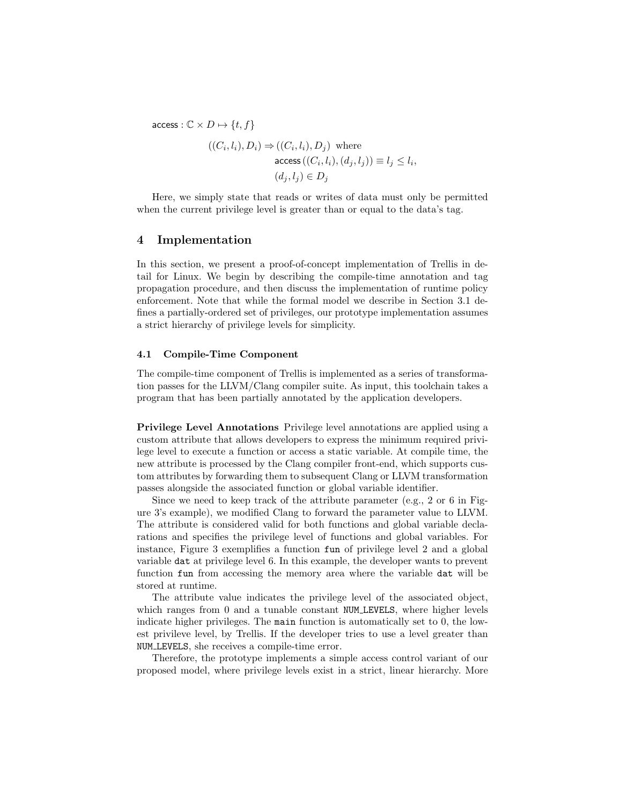$\text{access} : \mathbb{C} \times D \mapsto \{t, f\}$ 

$$
((C_i, l_i), D_i) \Rightarrow ((C_i, l_i), D_j) \text{ where}
$$
  

$$
\operatorname{access}((C_i, l_i), (d_j, l_j)) \equiv l_j \le l_i,
$$
  

$$
(d_j, l_j) \in D_j
$$

Here, we simply state that reads or writes of data must only be permitted when the current privilege level is greater than or equal to the data's tag.

# 4 Implementation

In this section, we present a proof-of-concept implementation of Trellis in detail for Linux. We begin by describing the compile-time annotation and tag propagation procedure, and then discuss the implementation of runtime policy enforcement. Note that while the formal model we describe in Section 3.1 defines a partially-ordered set of privileges, our prototype implementation assumes a strict hierarchy of privilege levels for simplicity.

### 4.1 Compile-Time Component

The compile-time component of Trellis is implemented as a series of transformation passes for the LLVM/Clang compiler suite. As input, this toolchain takes a program that has been partially annotated by the application developers.

Privilege Level Annotations Privilege level annotations are applied using a custom attribute that allows developers to express the minimum required privilege level to execute a function or access a static variable. At compile time, the new attribute is processed by the Clang compiler front-end, which supports custom attributes by forwarding them to subsequent Clang or LLVM transformation passes alongside the associated function or global variable identifier.

Since we need to keep track of the attribute parameter (e.g., 2 or 6 in Figure 3's example), we modified Clang to forward the parameter value to LLVM. The attribute is considered valid for both functions and global variable declarations and specifies the privilege level of functions and global variables. For instance, Figure 3 exemplifies a function fun of privilege level 2 and a global variable dat at privilege level 6. In this example, the developer wants to prevent function fun from accessing the memory area where the variable dat will be stored at runtime.

The attribute value indicates the privilege level of the associated object, which ranges from 0 and a tunable constant NUM LEVELS, where higher levels indicate higher privileges. The main function is automatically set to 0, the lowest privileve level, by Trellis. If the developer tries to use a level greater than NUM LEVELS, she receives a compile-time error.

Therefore, the prototype implements a simple access control variant of our proposed model, where privilege levels exist in a strict, linear hierarchy. More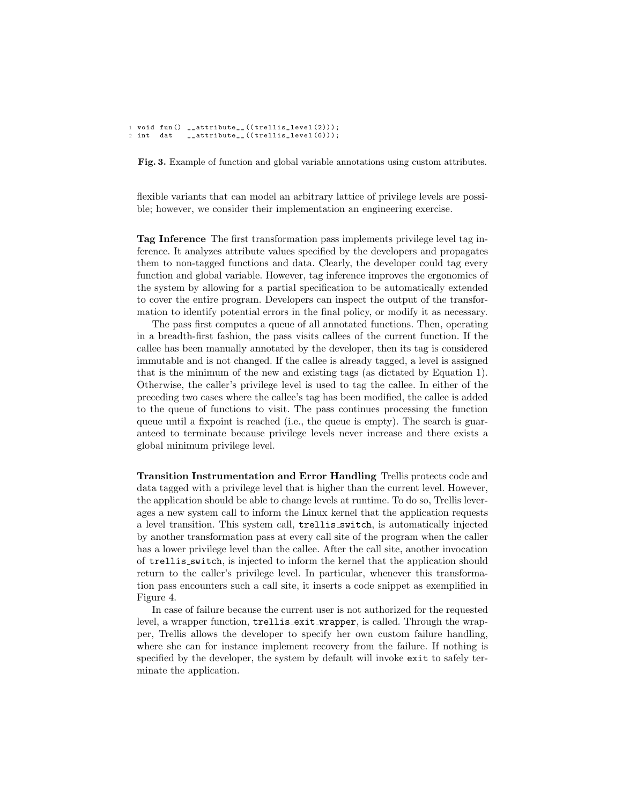#### $1$ void fun () \_\_attribute\_\_((trellis\_level(2))); 2 int dat  $_{-}$  attribute<sub>--</sub> $((\text{trellis\_level}(6)))$ ;

Fig. 3. Example of function and global variable annotations using custom attributes.

flexible variants that can model an arbitrary lattice of privilege levels are possible; however, we consider their implementation an engineering exercise.

Tag Inference The first transformation pass implements privilege level tag inference. It analyzes attribute values specified by the developers and propagates them to non-tagged functions and data. Clearly, the developer could tag every function and global variable. However, tag inference improves the ergonomics of the system by allowing for a partial specification to be automatically extended to cover the entire program. Developers can inspect the output of the transformation to identify potential errors in the final policy, or modify it as necessary.

The pass first computes a queue of all annotated functions. Then, operating in a breadth-first fashion, the pass visits callees of the current function. If the callee has been manually annotated by the developer, then its tag is considered immutable and is not changed. If the callee is already tagged, a level is assigned that is the minimum of the new and existing tags (as dictated by Equation 1). Otherwise, the caller's privilege level is used to tag the callee. In either of the preceding two cases where the callee's tag has been modified, the callee is added to the queue of functions to visit. The pass continues processing the function queue until a fixpoint is reached (i.e., the queue is empty). The search is guaranteed to terminate because privilege levels never increase and there exists a global minimum privilege level.

Transition Instrumentation and Error Handling Trellis protects code and data tagged with a privilege level that is higher than the current level. However, the application should be able to change levels at runtime. To do so, Trellis leverages a new system call to inform the Linux kernel that the application requests a level transition. This system call, trellis switch, is automatically injected by another transformation pass at every call site of the program when the caller has a lower privilege level than the callee. After the call site, another invocation of trellis switch, is injected to inform the kernel that the application should return to the caller's privilege level. In particular, whenever this transformation pass encounters such a call site, it inserts a code snippet as exemplified in Figure 4.

In case of failure because the current user is not authorized for the requested level, a wrapper function,  $\text{trellis\_exit\_ wrapper}$ , is called. Through the wrapper, Trellis allows the developer to specify her own custom failure handling, where she can for instance implement recovery from the failure. If nothing is specified by the developer, the system by default will invoke exit to safely terminate the application.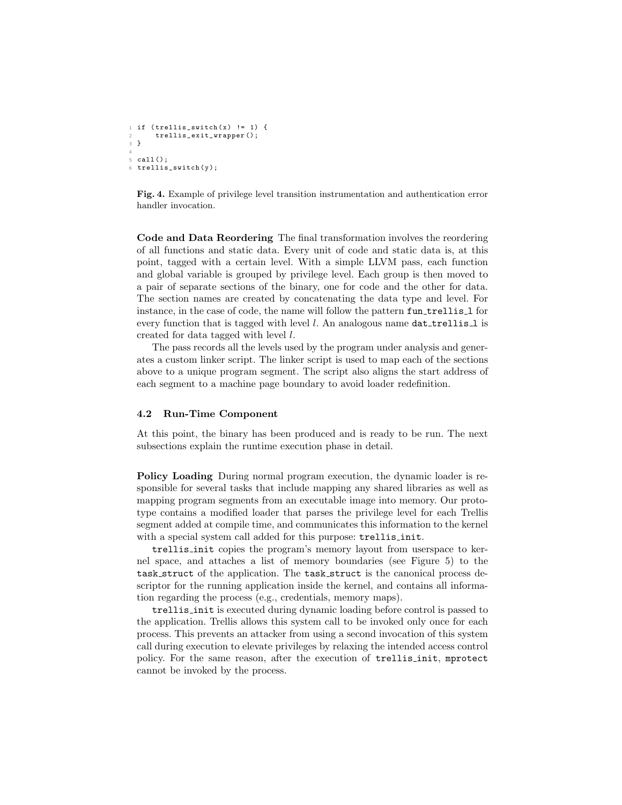```
1 if (trellis_switch(x) != 1) {
2 trellis_exit_wrapper ();
3 }
4
5 call () :
6 trellis_switch (y);
```
Fig. 4. Example of privilege level transition instrumentation and authentication error handler invocation.

Code and Data Reordering The final transformation involves the reordering of all functions and static data. Every unit of code and static data is, at this point, tagged with a certain level. With a simple LLVM pass, each function and global variable is grouped by privilege level. Each group is then moved to a pair of separate sections of the binary, one for code and the other for data. The section names are created by concatenating the data type and level. For instance, in the case of code, the name will follow the pattern fun trellis 1 for every function that is tagged with level  $l$ . An analogous name dat trellis l is created for data tagged with level l.

The pass records all the levels used by the program under analysis and generates a custom linker script. The linker script is used to map each of the sections above to a unique program segment. The script also aligns the start address of each segment to a machine page boundary to avoid loader redefinition.

# 4.2 Run-Time Component

At this point, the binary has been produced and is ready to be run. The next subsections explain the runtime execution phase in detail.

Policy Loading During normal program execution, the dynamic loader is responsible for several tasks that include mapping any shared libraries as well as mapping program segments from an executable image into memory. Our prototype contains a modified loader that parses the privilege level for each Trellis segment added at compile time, and communicates this information to the kernel with a special system call added for this purpose: trellis init.

trellis init copies the program's memory layout from userspace to kernel space, and attaches a list of memory boundaries (see Figure 5) to the task struct of the application. The task struct is the canonical process descriptor for the running application inside the kernel, and contains all information regarding the process (e.g., credentials, memory maps).

trellis init is executed during dynamic loading before control is passed to the application. Trellis allows this system call to be invoked only once for each process. This prevents an attacker from using a second invocation of this system call during execution to elevate privileges by relaxing the intended access control policy. For the same reason, after the execution of trellis init, mprotect cannot be invoked by the process.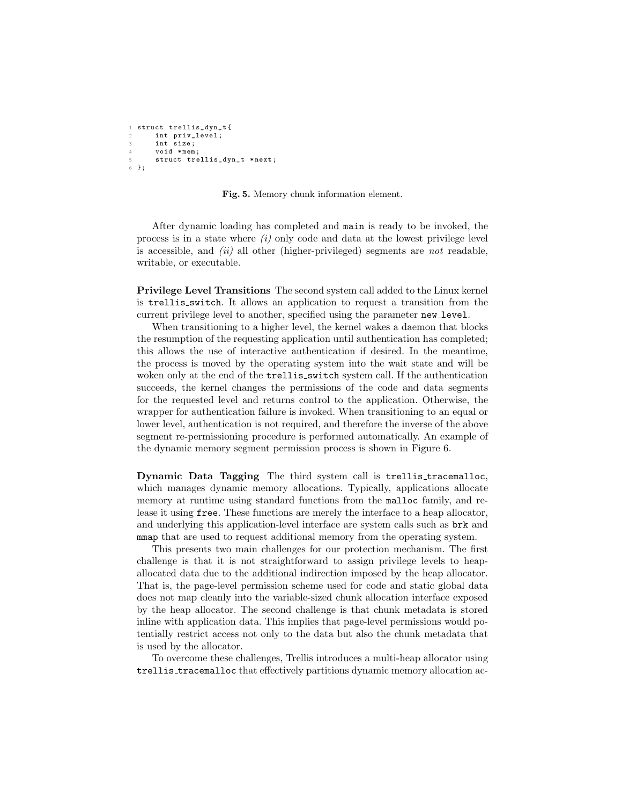```
struct trellis_dyn_t{
2 int priv_level ;
3 int size ;
     void *mem;
5 struct trellis_dyn_t * next ;
6 };
```
Fig. 5. Memory chunk information element.

After dynamic loading has completed and main is ready to be invoked, the process is in a state where  $(i)$  only code and data at the lowest privilege level is accessible, and  $(ii)$  all other (higher-privileged) segments are *not* readable, writable, or executable.

Privilege Level Transitions The second system call added to the Linux kernel is trellis switch. It allows an application to request a transition from the current privilege level to another, specified using the parameter new level.

When transitioning to a higher level, the kernel wakes a daemon that blocks the resumption of the requesting application until authentication has completed; this allows the use of interactive authentication if desired. In the meantime, the process is moved by the operating system into the wait state and will be woken only at the end of the **trellis\_switch** system call. If the authentication succeeds, the kernel changes the permissions of the code and data segments for the requested level and returns control to the application. Otherwise, the wrapper for authentication failure is invoked. When transitioning to an equal or lower level, authentication is not required, and therefore the inverse of the above segment re-permissioning procedure is performed automatically. An example of the dynamic memory segment permission process is shown in Figure 6.

Dynamic Data Tagging The third system call is trellis tracemalloc, which manages dynamic memory allocations. Typically, applications allocate memory at runtime using standard functions from the malloc family, and release it using free. These functions are merely the interface to a heap allocator, and underlying this application-level interface are system calls such as brk and mmap that are used to request additional memory from the operating system.

This presents two main challenges for our protection mechanism. The first challenge is that it is not straightforward to assign privilege levels to heapallocated data due to the additional indirection imposed by the heap allocator. That is, the page-level permission scheme used for code and static global data does not map cleanly into the variable-sized chunk allocation interface exposed by the heap allocator. The second challenge is that chunk metadata is stored inline with application data. This implies that page-level permissions would potentially restrict access not only to the data but also the chunk metadata that is used by the allocator.

To overcome these challenges, Trellis introduces a multi-heap allocator using trellis tracemalloc that effectively partitions dynamic memory allocation ac-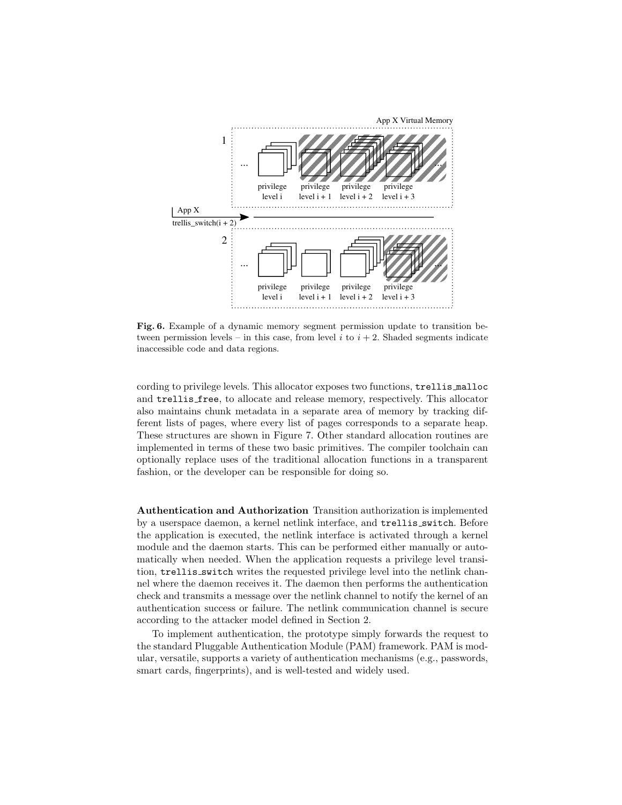

Fig. 6. Example of a dynamic memory segment permission update to transition between permission levels – in this case, from level i to  $i + 2$ . Shaded segments indicate inaccessible code and data regions.

cording to privilege levels. This allocator exposes two functions, trellis malloc and trellis free, to allocate and release memory, respectively. This allocator also maintains chunk metadata in a separate area of memory by tracking different lists of pages, where every list of pages corresponds to a separate heap. These structures are shown in Figure 7. Other standard allocation routines are implemented in terms of these two basic primitives. The compiler toolchain can optionally replace uses of the traditional allocation functions in a transparent fashion, or the developer can be responsible for doing so.

Authentication and Authorization Transition authorization is implemented by a userspace daemon, a kernel netlink interface, and trellis switch. Before the application is executed, the netlink interface is activated through a kernel module and the daemon starts. This can be performed either manually or automatically when needed. When the application requests a privilege level transition, trellis switch writes the requested privilege level into the netlink channel where the daemon receives it. The daemon then performs the authentication check and transmits a message over the netlink channel to notify the kernel of an authentication success or failure. The netlink communication channel is secure according to the attacker model defined in Section 2.

To implement authentication, the prototype simply forwards the request to the standard Pluggable Authentication Module (PAM) framework. PAM is modular, versatile, supports a variety of authentication mechanisms (e.g., passwords, smart cards, fingerprints), and is well-tested and widely used.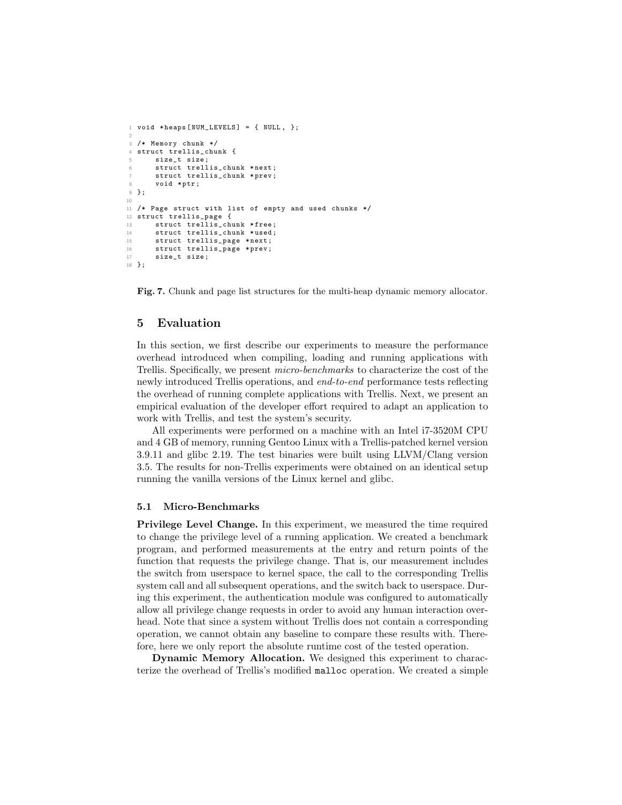```
1 void *heaps [NUM_LEVELS] = { NULL, };
 2
3 /* Memory chunk */
  4 struct trellis_chunk {
      size t size:
       struct trellis_chunk *next;
       struct trellis_chunk * prev;
       void *ptr;
9 };
10
11 /* Page struct with list of empty and used chunks */
12 struct trellis_page {
13 struct trellis_chunk *free;
14 struct trellis_chunk *used;
15 struct trellis_page *next;<br>16 struct trellis page *prev:
       struct trellis_page *prev;
17 size_t size;
18 };
```
Fig. 7. Chunk and page list structures for the multi-heap dynamic memory allocator.

# 5 Evaluation

In this section, we first describe our experiments to measure the performance overhead introduced when compiling, loading and running applications with Trellis. Specifically, we present micro-benchmarks to characterize the cost of the newly introduced Trellis operations, and end-to-end performance tests reflecting the overhead of running complete applications with Trellis. Next, we present an empirical evaluation of the developer effort required to adapt an application to work with Trellis, and test the system's security.

All experiments were performed on a machine with an Intel i7-3520M CPU and 4 GB of memory, running Gentoo Linux with a Trellis-patched kernel version 3.9.11 and glibc 2.19. The test binaries were built using LLVM/Clang version 3.5. The results for non-Trellis experiments were obtained on an identical setup running the vanilla versions of the Linux kernel and glibc.

#### 5.1 Micro-Benchmarks

Privilege Level Change. In this experiment, we measured the time required to change the privilege level of a running application. We created a benchmark program, and performed measurements at the entry and return points of the function that requests the privilege change. That is, our measurement includes the switch from userspace to kernel space, the call to the corresponding Trellis system call and all subsequent operations, and the switch back to userspace. During this experiment, the authentication module was configured to automatically allow all privilege change requests in order to avoid any human interaction overhead. Note that since a system without Trellis does not contain a corresponding operation, we cannot obtain any baseline to compare these results with. Therefore, here we only report the absolute runtime cost of the tested operation.

Dynamic Memory Allocation. We designed this experiment to characterize the overhead of Trellis's modified malloc operation. We created a simple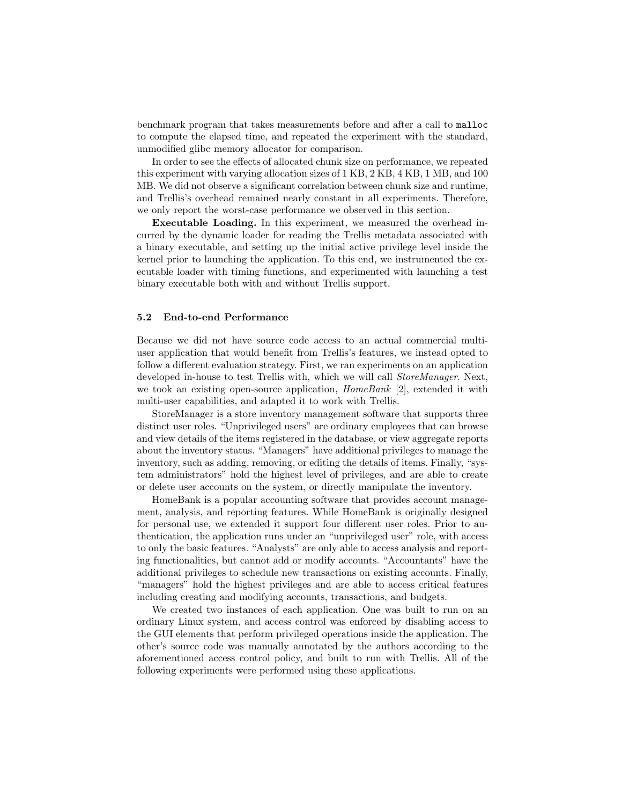benchmark program that takes measurements before and after a call to malloc to compute the elapsed time, and repeated the experiment with the standard, unmodified glibc memory allocator for comparison.

In order to see the effects of allocated chunk size on performance, we repeated this experiment with varying allocation sizes of 1 KB, 2 KB, 4 KB, 1 MB, and 100 MB. We did not observe a significant correlation between chunk size and runtime, and Trellis's overhead remained nearly constant in all experiments. Therefore, we only report the worst-case performance we observed in this section.

Executable Loading. In this experiment, we measured the overhead incurred by the dynamic loader for reading the Trellis metadata associated with a binary executable, and setting up the initial active privilege level inside the kernel prior to launching the application. To this end, we instrumented the executable loader with timing functions, and experimented with launching a test binary executable both with and without Trellis support.

#### 5.2 End-to-end Performance

Because we did not have source code access to an actual commercial multiuser application that would benefit from Trellis's features, we instead opted to follow a different evaluation strategy. First, we ran experiments on an application developed in-house to test Trellis with, which we will call StoreManager. Next, we took an existing open-source application,  $HomeBank$  [2], extended it with multi-user capabilities, and adapted it to work with Trellis.

StoreManager is a store inventory management software that supports three distinct user roles. "Unprivileged users" are ordinary employees that can browse and view details of the items registered in the database, or view aggregate reports about the inventory status. "Managers" have additional privileges to manage the inventory, such as adding, removing, or editing the details of items. Finally, "system administrators" hold the highest level of privileges, and are able to create or delete user accounts on the system, or directly manipulate the inventory.

HomeBank is a popular accounting software that provides account management, analysis, and reporting features. While HomeBank is originally designed for personal use, we extended it support four different user roles. Prior to authentication, the application runs under an "unprivileged user" role, with access to only the basic features. "Analysts" are only able to access analysis and reporting functionalities, but cannot add or modify accounts. "Accountants" have the additional privileges to schedule new transactions on existing accounts. Finally, "managers" hold the highest privileges and are able to access critical features including creating and modifying accounts, transactions, and budgets.

We created two instances of each application. One was built to run on an ordinary Linux system, and access control was enforced by disabling access to the GUI elements that perform privileged operations inside the application. The other's source code was manually annotated by the authors according to the aforementioned access control policy, and built to run with Trellis. All of the following experiments were performed using these applications.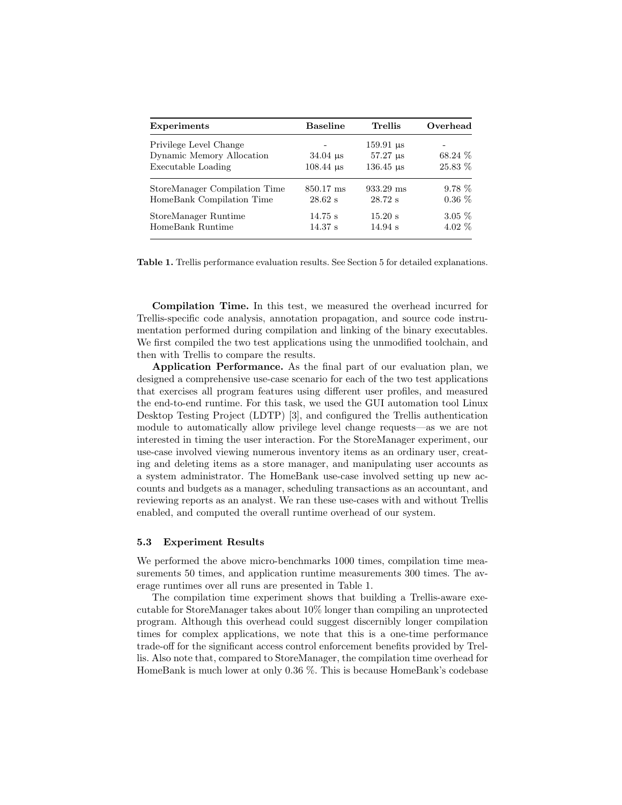| <b>Experiments</b>            | <b>Baseline</b>                | <b>Trellis</b>               | Overhead  |
|-------------------------------|--------------------------------|------------------------------|-----------|
| Privilege Level Change        |                                | $159.91 \text{ }\mu\text{s}$ |           |
| Dynamic Memory Allocation     | $34.04 \text{ }\mu\text{s}$    | $57.27$ us                   | $68.24\%$ |
| Executable Loading            | $108.44 \text{ } \mu \text{s}$ | $136.45 \text{ }\mu\text{s}$ | 25.83 %   |
| StoreManager Compilation Time | $850.17 \text{ ms}$            | 933.29 ms                    | $9.78\%$  |
| HomeBank Compilation Time     | $28.62$ s                      | $28.72$ s                    | $0.36\%$  |
| StoreManager Runtime          | $14.75$ s                      | 15.20 s                      | $3.05\%$  |
| HomeBank Runtime              | 14.37 s                        | 14.94 s                      | $4.02\%$  |

Table 1. Trellis performance evaluation results. See Section 5 for detailed explanations.

Compilation Time. In this test, we measured the overhead incurred for Trellis-specific code analysis, annotation propagation, and source code instrumentation performed during compilation and linking of the binary executables. We first compiled the two test applications using the unmodified toolchain, and then with Trellis to compare the results.

Application Performance. As the final part of our evaluation plan, we designed a comprehensive use-case scenario for each of the two test applications that exercises all program features using different user profiles, and measured the end-to-end runtime. For this task, we used the GUI automation tool Linux Desktop Testing Project (LDTP) [3], and configured the Trellis authentication module to automatically allow privilege level change requests—as we are not interested in timing the user interaction. For the StoreManager experiment, our use-case involved viewing numerous inventory items as an ordinary user, creating and deleting items as a store manager, and manipulating user accounts as a system administrator. The HomeBank use-case involved setting up new accounts and budgets as a manager, scheduling transactions as an accountant, and reviewing reports as an analyst. We ran these use-cases with and without Trellis enabled, and computed the overall runtime overhead of our system.

#### 5.3 Experiment Results

We performed the above micro-benchmarks 1000 times, compilation time measurements 50 times, and application runtime measurements 300 times. The average runtimes over all runs are presented in Table 1.

The compilation time experiment shows that building a Trellis-aware executable for StoreManager takes about 10% longer than compiling an unprotected program. Although this overhead could suggest discernibly longer compilation times for complex applications, we note that this is a one-time performance trade-off for the significant access control enforcement benefits provided by Trellis. Also note that, compared to StoreManager, the compilation time overhead for HomeBank is much lower at only 0.36 %. This is because HomeBank's codebase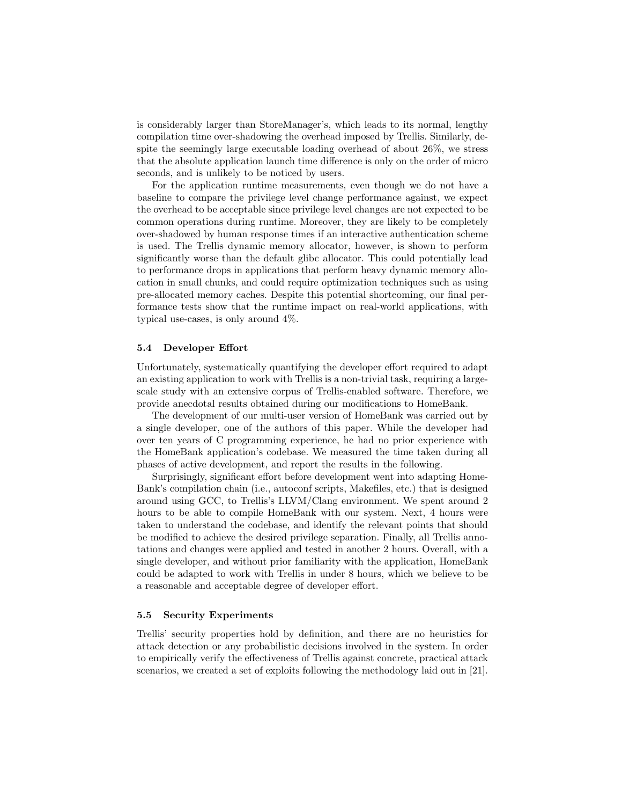is considerably larger than StoreManager's, which leads to its normal, lengthy compilation time over-shadowing the overhead imposed by Trellis. Similarly, despite the seemingly large executable loading overhead of about 26%, we stress that the absolute application launch time difference is only on the order of micro seconds, and is unlikely to be noticed by users.

For the application runtime measurements, even though we do not have a baseline to compare the privilege level change performance against, we expect the overhead to be acceptable since privilege level changes are not expected to be common operations during runtime. Moreover, they are likely to be completely over-shadowed by human response times if an interactive authentication scheme is used. The Trellis dynamic memory allocator, however, is shown to perform significantly worse than the default glibc allocator. This could potentially lead to performance drops in applications that perform heavy dynamic memory allocation in small chunks, and could require optimization techniques such as using pre-allocated memory caches. Despite this potential shortcoming, our final performance tests show that the runtime impact on real-world applications, with typical use-cases, is only around 4%.

#### 5.4 Developer Effort

Unfortunately, systematically quantifying the developer effort required to adapt an existing application to work with Trellis is a non-trivial task, requiring a largescale study with an extensive corpus of Trellis-enabled software. Therefore, we provide anecdotal results obtained during our modifications to HomeBank.

The development of our multi-user version of HomeBank was carried out by a single developer, one of the authors of this paper. While the developer had over ten years of C programming experience, he had no prior experience with the HomeBank application's codebase. We measured the time taken during all phases of active development, and report the results in the following.

Surprisingly, significant effort before development went into adapting Home-Bank's compilation chain (i.e., autoconf scripts, Makefiles, etc.) that is designed around using GCC, to Trellis's LLVM/Clang environment. We spent around 2 hours to be able to compile HomeBank with our system. Next, 4 hours were taken to understand the codebase, and identify the relevant points that should be modified to achieve the desired privilege separation. Finally, all Trellis annotations and changes were applied and tested in another 2 hours. Overall, with a single developer, and without prior familiarity with the application, HomeBank could be adapted to work with Trellis in under 8 hours, which we believe to be a reasonable and acceptable degree of developer effort.

### 5.5 Security Experiments

Trellis' security properties hold by definition, and there are no heuristics for attack detection or any probabilistic decisions involved in the system. In order to empirically verify the effectiveness of Trellis against concrete, practical attack scenarios, we created a set of exploits following the methodology laid out in [21].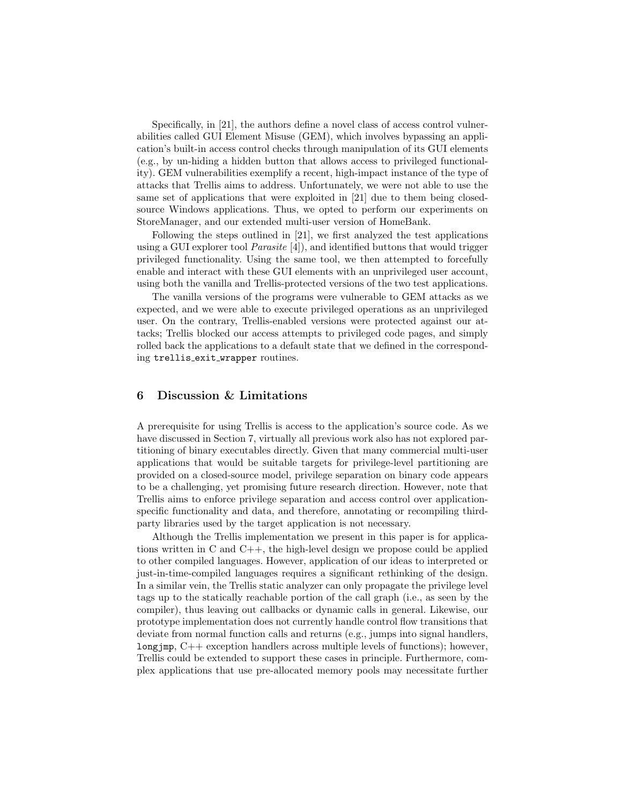Specifically, in [21], the authors define a novel class of access control vulnerabilities called GUI Element Misuse (GEM), which involves bypassing an application's built-in access control checks through manipulation of its GUI elements (e.g., by un-hiding a hidden button that allows access to privileged functionality). GEM vulnerabilities exemplify a recent, high-impact instance of the type of attacks that Trellis aims to address. Unfortunately, we were not able to use the same set of applications that were exploited in [21] due to them being closedsource Windows applications. Thus, we opted to perform our experiments on StoreManager, and our extended multi-user version of HomeBank.

Following the steps outlined in [21], we first analyzed the test applications using a GUI explorer tool Parasite [4]), and identified buttons that would trigger privileged functionality. Using the same tool, we then attempted to forcefully enable and interact with these GUI elements with an unprivileged user account, using both the vanilla and Trellis-protected versions of the two test applications.

The vanilla versions of the programs were vulnerable to GEM attacks as we expected, and we were able to execute privileged operations as an unprivileged user. On the contrary, Trellis-enabled versions were protected against our attacks; Trellis blocked our access attempts to privileged code pages, and simply rolled back the applications to a default state that we defined in the corresponding trellis exit wrapper routines.

# 6 Discussion & Limitations

A prerequisite for using Trellis is access to the application's source code. As we have discussed in Section 7, virtually all previous work also has not explored partitioning of binary executables directly. Given that many commercial multi-user applications that would be suitable targets for privilege-level partitioning are provided on a closed-source model, privilege separation on binary code appears to be a challenging, yet promising future research direction. However, note that Trellis aims to enforce privilege separation and access control over applicationspecific functionality and data, and therefore, annotating or recompiling thirdparty libraries used by the target application is not necessary.

Although the Trellis implementation we present in this paper is for applications written in C and C++, the high-level design we propose could be applied to other compiled languages. However, application of our ideas to interpreted or just-in-time-compiled languages requires a significant rethinking of the design. In a similar vein, the Trellis static analyzer can only propagate the privilege level tags up to the statically reachable portion of the call graph (i.e., as seen by the compiler), thus leaving out callbacks or dynamic calls in general. Likewise, our prototype implementation does not currently handle control flow transitions that deviate from normal function calls and returns (e.g., jumps into signal handlers, long $\gamma$  =  $C_{++}$  exception handlers across multiple levels of functions); however, Trellis could be extended to support these cases in principle. Furthermore, complex applications that use pre-allocated memory pools may necessitate further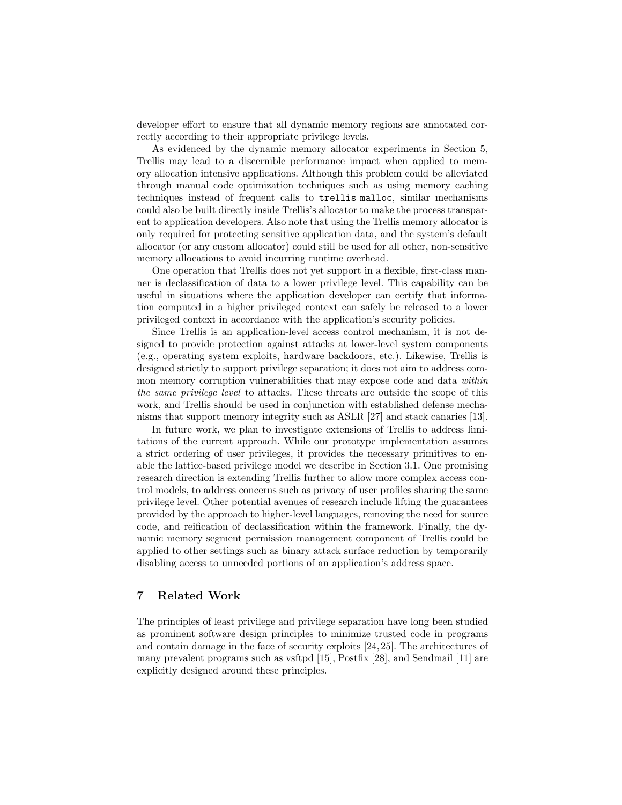developer effort to ensure that all dynamic memory regions are annotated correctly according to their appropriate privilege levels.

As evidenced by the dynamic memory allocator experiments in Section 5, Trellis may lead to a discernible performance impact when applied to memory allocation intensive applications. Although this problem could be alleviated through manual code optimization techniques such as using memory caching techniques instead of frequent calls to trellis malloc, similar mechanisms could also be built directly inside Trellis's allocator to make the process transparent to application developers. Also note that using the Trellis memory allocator is only required for protecting sensitive application data, and the system's default allocator (or any custom allocator) could still be used for all other, non-sensitive memory allocations to avoid incurring runtime overhead.

One operation that Trellis does not yet support in a flexible, first-class manner is declassification of data to a lower privilege level. This capability can be useful in situations where the application developer can certify that information computed in a higher privileged context can safely be released to a lower privileged context in accordance with the application's security policies.

Since Trellis is an application-level access control mechanism, it is not designed to provide protection against attacks at lower-level system components (e.g., operating system exploits, hardware backdoors, etc.). Likewise, Trellis is designed strictly to support privilege separation; it does not aim to address common memory corruption vulnerabilities that may expose code and data within the same privilege level to attacks. These threats are outside the scope of this work, and Trellis should be used in conjunction with established defense mechanisms that support memory integrity such as ASLR [27] and stack canaries [13].

In future work, we plan to investigate extensions of Trellis to address limitations of the current approach. While our prototype implementation assumes a strict ordering of user privileges, it provides the necessary primitives to enable the lattice-based privilege model we describe in Section 3.1. One promising research direction is extending Trellis further to allow more complex access control models, to address concerns such as privacy of user profiles sharing the same privilege level. Other potential avenues of research include lifting the guarantees provided by the approach to higher-level languages, removing the need for source code, and reification of declassification within the framework. Finally, the dynamic memory segment permission management component of Trellis could be applied to other settings such as binary attack surface reduction by temporarily disabling access to unneeded portions of an application's address space.

# 7 Related Work

The principles of least privilege and privilege separation have long been studied as prominent software design principles to minimize trusted code in programs and contain damage in the face of security exploits [24, 25]. The architectures of many prevalent programs such as vsftpd [15], Postfix [28], and Sendmail [11] are explicitly designed around these principles.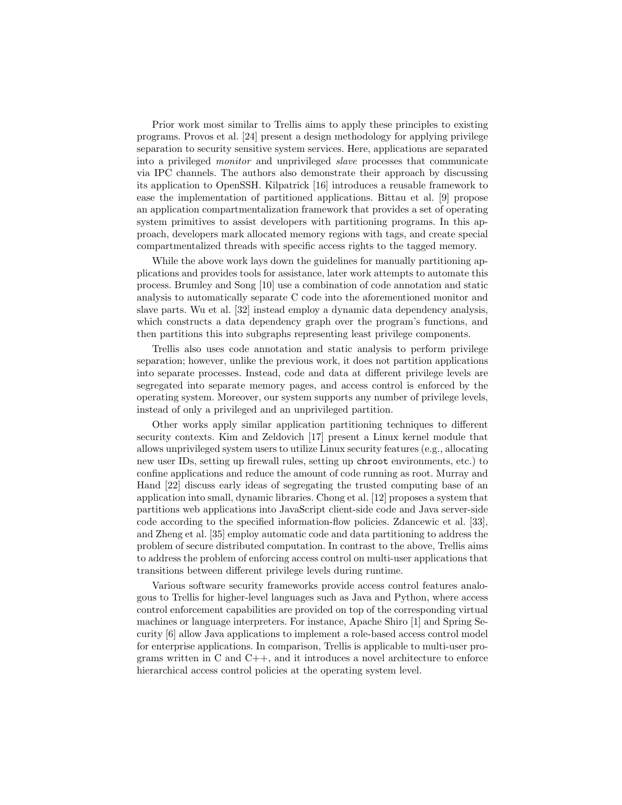Prior work most similar to Trellis aims to apply these principles to existing programs. Provos et al. [24] present a design methodology for applying privilege separation to security sensitive system services. Here, applications are separated into a privileged monitor and unprivileged slave processes that communicate via IPC channels. The authors also demonstrate their approach by discussing its application to OpenSSH. Kilpatrick [16] introduces a reusable framework to ease the implementation of partitioned applications. Bittau et al. [9] propose an application compartmentalization framework that provides a set of operating system primitives to assist developers with partitioning programs. In this approach, developers mark allocated memory regions with tags, and create special compartmentalized threads with specific access rights to the tagged memory.

While the above work lays down the guidelines for manually partitioning applications and provides tools for assistance, later work attempts to automate this process. Brumley and Song [10] use a combination of code annotation and static analysis to automatically separate C code into the aforementioned monitor and slave parts. Wu et al. [32] instead employ a dynamic data dependency analysis, which constructs a data dependency graph over the program's functions, and then partitions this into subgraphs representing least privilege components.

Trellis also uses code annotation and static analysis to perform privilege separation; however, unlike the previous work, it does not partition applications into separate processes. Instead, code and data at different privilege levels are segregated into separate memory pages, and access control is enforced by the operating system. Moreover, our system supports any number of privilege levels, instead of only a privileged and an unprivileged partition.

Other works apply similar application partitioning techniques to different security contexts. Kim and Zeldovich [17] present a Linux kernel module that allows unprivileged system users to utilize Linux security features (e.g., allocating new user IDs, setting up firewall rules, setting up chroot environments, etc.) to confine applications and reduce the amount of code running as root. Murray and Hand [22] discuss early ideas of segregating the trusted computing base of an application into small, dynamic libraries. Chong et al. [12] proposes a system that partitions web applications into JavaScript client-side code and Java server-side code according to the specified information-flow policies. Zdancewic et al. [33], and Zheng et al. [35] employ automatic code and data partitioning to address the problem of secure distributed computation. In contrast to the above, Trellis aims to address the problem of enforcing access control on multi-user applications that transitions between different privilege levels during runtime.

Various software security frameworks provide access control features analogous to Trellis for higher-level languages such as Java and Python, where access control enforcement capabilities are provided on top of the corresponding virtual machines or language interpreters. For instance, Apache Shiro [1] and Spring Security [6] allow Java applications to implement a role-based access control model for enterprise applications. In comparison, Trellis is applicable to multi-user programs written in C and C++, and it introduces a novel architecture to enforce hierarchical access control policies at the operating system level.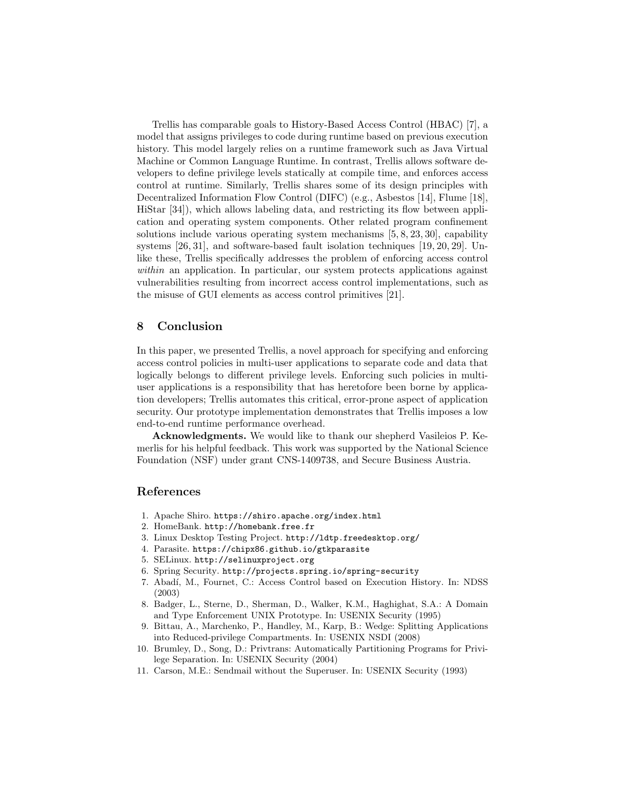Trellis has comparable goals to History-Based Access Control (HBAC) [7], a model that assigns privileges to code during runtime based on previous execution history. This model largely relies on a runtime framework such as Java Virtual Machine or Common Language Runtime. In contrast, Trellis allows software developers to define privilege levels statically at compile time, and enforces access control at runtime. Similarly, Trellis shares some of its design principles with Decentralized Information Flow Control (DIFC) (e.g., Asbestos [14], Flume [18], HiStar [34]), which allows labeling data, and restricting its flow between application and operating system components. Other related program confinement solutions include various operating system mechanisms [5, 8, 23, 30], capability systems [26, 31], and software-based fault isolation techniques [19, 20, 29]. Unlike these, Trellis specifically addresses the problem of enforcing access control within an application. In particular, our system protects applications against vulnerabilities resulting from incorrect access control implementations, such as the misuse of GUI elements as access control primitives [21].

# 8 Conclusion

In this paper, we presented Trellis, a novel approach for specifying and enforcing access control policies in multi-user applications to separate code and data that logically belongs to different privilege levels. Enforcing such policies in multiuser applications is a responsibility that has heretofore been borne by application developers; Trellis automates this critical, error-prone aspect of application security. Our prototype implementation demonstrates that Trellis imposes a low end-to-end runtime performance overhead.

Acknowledgments. We would like to thank our shepherd Vasileios P. Kemerlis for his helpful feedback. This work was supported by the National Science Foundation (NSF) under grant CNS-1409738, and Secure Business Austria.

# References

- 1. Apache Shiro. https://shiro.apache.org/index.html
- 2. HomeBank. http://homebank.free.fr
- 3. Linux Desktop Testing Project. http://ldtp.freedesktop.org/
- 4. Parasite. https://chipx86.github.io/gtkparasite
- 5. SELinux. http://selinuxproject.org
- 6. Spring Security. http://projects.spring.io/spring-security
- 7. Abad´ı, M., Fournet, C.: Access Control based on Execution History. In: NDSS (2003)
- 8. Badger, L., Sterne, D., Sherman, D., Walker, K.M., Haghighat, S.A.: A Domain and Type Enforcement UNIX Prototype. In: USENIX Security (1995)
- 9. Bittau, A., Marchenko, P., Handley, M., Karp, B.: Wedge: Splitting Applications into Reduced-privilege Compartments. In: USENIX NSDI (2008)
- 10. Brumley, D., Song, D.: Privtrans: Automatically Partitioning Programs for Privilege Separation. In: USENIX Security (2004)
- 11. Carson, M.E.: Sendmail without the Superuser. In: USENIX Security (1993)